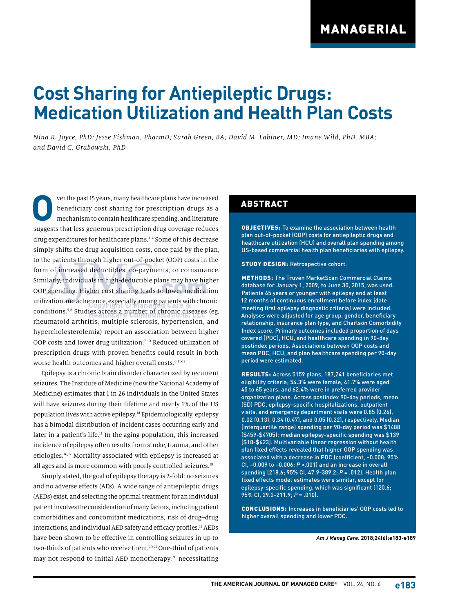# **Cost Sharing for Antiepileptic Drugs: Medication Utilization and Health Plan Costs**

*Nina R. Joyce, PhD; Jesse Fishman, PharmD; Sarah Green, BA; David M. Labiner, MD; Imane Wild, PhD, MBA; and David C. Grabowski, PhD*

**O**ver the past 15 years, many healthcare plans have increased<br>beneficiary cost sharing for prescription drugs as a<br>mechanism to contain healthcare spending, and literature beneficiary cost sharing for prescription drugs as a mechanism to contain healthcare spending, and literature suggests that less generous prescription drug coverage reduces drug expenditures for healthcare plans.1-4 Some of this decrease simply shifts the drug acquisition costs, once paid by the plan, to the patients through higher out-of-pocket (OOP) costs in the form of increased deductibles, co-payments, or coinsurance. Similarly, individuals in high-deductible plans may have higher OOP spending. Higher cost sharing leads to lower medication utilization and adherence, especially among patients with chronic conditions.5,6 Studies across a number of chronic diseases (eg, rheumatoid arthritis, multiple sclerosis, hypertension, and hypercholesterolemia) report an association between higher OOP costs and lower drug utilization.<sup>7-10</sup> Reduced utilization of prescription drugs with proven benefits could result in both worse health outcomes and higher overall costs.<sup>6,11-13</sup>

Epilepsy is a chronic brain disorder characterized by recurrent seizures. The Institute of Medicine (now the National Academy of Medicine) estimates that 1 in 26 individuals in the United States will have seizures during their lifetime and nearly 1% of the US population lives with active epilepsy.14 Epidemiologically, epilepsy has a bimodal distribution of incident cases occurring early and later in a patient's life.<sup>15</sup> In the aging population, this increased incidence of epilepsy often results from stroke, trauma, and other etiologies.16,17 Mortality associated with epilepsy is increased at all ages and is more common with poorly controlled seizures.<sup>18</sup>

Simply stated, the goal of epilepsy therapy is 2-fold: no seizures and no adverse effects (AEs). A wide range of antiepileptic drugs (AEDs) exist, and selecting the optimal treatment for an individual patient involves the consideration of many factors, including patient comorbidities and concomitant medications, risk of drug–drug interactions, and individual AED safety and efficacy profiles.<sup>19</sup> AEDs have been shown to be effective in controlling seizures in up to two-thirds of patients who receive them.20,21 One-third of patients may not respond to initial AED monotherapy,<sup>20</sup> necessitating

#### ABSTRACT

OBJECTIVES: To examine the association between health plan out-of-pocket (OOP) costs for antiepileptic drugs and healthcare utilization (HCU) and overall plan spending among US-based commercial health plan beneficiaries with epilepsy.

STUDY DESIGN: Retrospective cohort.

METHODS: The Truven MarketScan Commercial Claims database for January 1, 2009, to June 30, 2015, was used. Patients 65 years or younger with epilepsy and at least 12 months of continuous enrollment before index (date meeting first epilepsy diagnostic criteria) were included. Analyses were adjusted for age group, gender, beneficiary relationship, insurance plan type, and Charlson Comorbidity Index score. Primary outcomes included proportion of days covered (PDC), HCU, and healthcare spending in 90-day postindex periods. Associations between OOP costs and mean PDC, HCU, and plan healthcare spending per 90-day period were estimated.

RESULTS: Across 5159 plans, 187,241 beneficiaries met eligibility criteria; 54.3% were female, 41.7% were aged 45 to 65 years, and 62.4% were in preferred provider organization plans. Across postindex 90-day periods, mean (SD) PDC, epilepsy-specific hospitalizations, outpatient visits, and emergency department visits were 0.85 (0.26), 0.02 (0.13), 0.34 (0.47), and 0.05 (0.22), respectively. Median (interquartile range) spending per 90-day period was \$1488 (\$459-\$4705); median epilepsy-specific spending was \$139 (\$18-\$623). Multivariable linear regression without health plan fixed effects revealed that higher OOP spending was associated with a decrease in PDC (coefficient, –0.008; 95% CI, –0.009 to –0.006; *P* <.001) and an increase in overall spending (218.6; 95% CI, 47.9-389.2; *P* = .012). Health plan fixed effects model estimates were similar, except for epilepsy-specific spending, which was significant (120.6; 95% CI, 29.2-211.9; *P* = .010).

CONCLUSIONS: Increases in beneficiaries' OOP costs led to higher overall spending and lower PDC.

*Am J Manag Care***. 2018;24(6):e183-e189**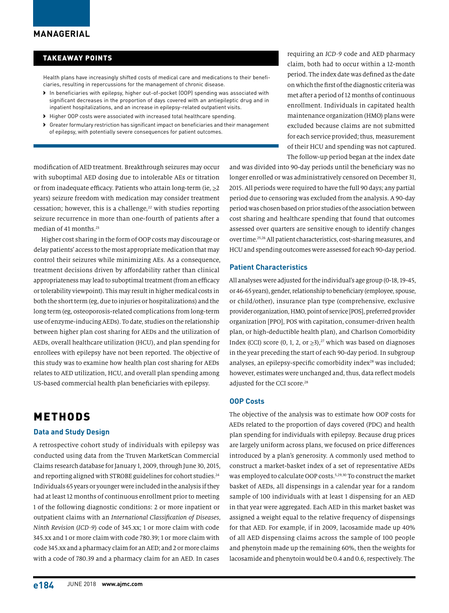#### TAKEAWAY POINTS

Health plans have increasingly shifted costs of medical care and medications to their beneficiaries, resulting in repercussions for the management of chronic disease.

- › In beneficiaries with epilepsy, higher out-of-pocket (OOP) spending was associated with significant decreases in the proportion of days covered with an antiepileptic drug and in inpatient hospitalizations, and an increase in epilepsy-related outpatient visits.
- › Higher OOP costs were associated with increased total healthcare spending.
- › Greater formulary restriction has significant impact on beneficiaries and their management of epilepsy, with potentially severe consequences for patient outcomes.

requiring an *ICD-9* code and AED pharmacy claim, both had to occur within a 12-month period. The index date was defined as the date on which the first of the diagnostic criteria was met after a period of 12 months of continuous enrollment. Individuals in capitated health maintenance organization (HMO) plans were excluded because claims are not submitted for each service provided; thus, measurement of their HCU and spending was not captured. The follow-up period began at the index date

modification of AED treatment. Breakthrough seizures may occur with suboptimal AED dosing due to intolerable AEs or titration or from inadequate efficacy. Patients who attain long-term (ie,  $\geq 2$ ) years) seizure freedom with medication may consider treatment cessation; however, this is a challenge, $22$  with studies reporting seizure recurrence in more than one-fourth of patients after a median of 41 months.<sup>23</sup>

Higher cost sharing in the form of OOP costs may discourage or delay patients' access to the most appropriate medication that may control their seizures while minimizing AEs. As a consequence, treatment decisions driven by affordability rather than clinical appropriateness may lead to suboptimal treatment (from an efficacy or tolerability viewpoint). This may result in higher medical costs in both the short term (eg, due to injuries or hospitalizations) and the long term (eg, osteoporosis-related complications from long-term use of enzyme-inducing AEDs). To date, studies on the relationship between higher plan cost sharing for AEDs and the utilization of AEDs, overall healthcare utilization (HCU), and plan spending for enrollees with epilepsy have not been reported. The objective of this study was to examine how health plan cost sharing for AEDs relates to AED utilization, HCU, and overall plan spending among US-based commercial health plan beneficiaries with epilepsy.

### METHODS

#### **Data and Study Design**

A retrospective cohort study of individuals with epilepsy was conducted using data from the Truven MarketScan Commercial Claims research database for January 1, 2009, through June 30, 2015, and reporting aligned with STROBE guidelines for cohort studies.<sup>24</sup> Individuals 65 years or younger were included in the analysis if they had at least 12 months of continuous enrollment prior to meeting 1 of the following diagnostic conditions: 2 or more inpatient or outpatient claims with an *International Classification of Diseases, Ninth Revision* (*ICD-9*) code of 345.xx; 1 or more claim with code 345.xx and 1 or more claim with code 780.39; 1 or more claim with code 345.xx and a pharmacy claim for an AED; and 2 or more claims with a code of 780.39 and a pharmacy claim for an AED. In cases

and was divided into 90-day periods until the beneficiary was no longer enrolled or was administratively censored on December 31, 2015. All periods were required to have the full 90 days; any partial period due to censoring was excluded from the analysis. A 90-day period was chosen based on prior studies of the association between cost sharing and healthcare spending that found that outcomes assessed over quarters are sensitive enough to identify changes over time.25,26 All patient characteristics, cost-sharing measures, and HCU and spending outcomes were assessed for each 90-day period.

#### **Patient Characteristics**

All analyses were adjusted for the individual's age group (0-18, 19-45, or 46-65 years), gender, relationship to beneficiary (employee, spouse, or child/other), insurance plan type (comprehensive, exclusive provider organization, HMO, point of service [POS], preferred provider organization [PPO], POS with capitation, consumer-driven health plan, or high-deductible health plan), and Charlson Comorbidity Index (CCI) score (0, 1, 2, or  $\geq 3$ ),<sup>27</sup> which was based on diagnoses in the year preceding the start of each 90-day period. In subgroup analyses, an epilepsy-specific comorbidity index<sup>28</sup> was included; however, estimates were unchanged and, thus, data reflect models adjusted for the CCI score.<sup>28</sup>

#### **OOP Costs**

The objective of the analysis was to estimate how OOP costs for AEDs related to the proportion of days covered (PDC) and health plan spending for individuals with epilepsy. Because drug prices are largely uniform across plans, we focused on price differences introduced by a plan's generosity. A commonly used method to construct a market-basket index of a set of representative AEDs was employed to calculate OOP costs.<sup>5,29,30</sup> To construct the market basket of AEDs, all dispensings in a calendar year for a random sample of 100 individuals with at least 1 dispensing for an AED in that year were aggregated. Each AED in this market basket was assigned a weight equal to the relative frequency of dispensings for that AED. For example, if in 2009, lacosamide made up 40% of all AED dispensing claims across the sample of 100 people and phenytoin made up the remaining 60%, then the weights for lacosamide and phenytoin would be 0.4 and 0.6, respectively. The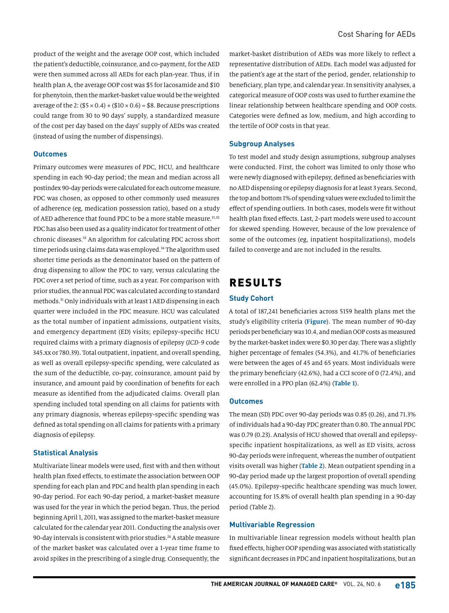product of the weight and the average OOP cost, which included the patient's deductible, coinsurance, and co-payment, for the AED were then summed across all AEDs for each plan-year. Thus, if in health plan A, the average OOP cost was \$5 for lacosamide and \$10 for phenytoin, then the market-basket value would be the weighted average of the 2:  $(\$5 \times 0.4) + \$10 \times 0.6$  = \$8. Because prescriptions could range from 30 to 90 days' supply, a standardized measure of the cost per day based on the days' supply of AEDs was created (instead of using the number of dispensings).

#### **Outcomes**

Primary outcomes were measures of PDC, HCU, and healthcare spending in each 90-day period; the mean and median across all postindex 90-day periods were calculated for each outcome measure. PDC was chosen, as opposed to other commonly used measures of adherence (eg, medication possession ratio), based on a study of AED adherence that found PDC to be a more stable measure.<sup>31,32</sup> PDC has also been used as a quality indicator for treatment of other chronic diseases.33 An algorithm for calculating PDC across short time periods using claims data was employed.34 The algorithm used shorter time periods as the denominator based on the pattern of drug dispensing to allow the PDC to vary, versus calculating the PDC over a set period of time, such as a year. For comparison with prior studies, the annual PDC was calculated according to standard methods.31 Only individuals with at least 1 AED dispensing in each quarter were included in the PDC measure. HCU was calculated as the total number of inpatient admissions, outpatient visits, and emergency department (ED) visits; epilepsy-specific HCU required claims with a primary diagnosis of epilepsy (*ICD-9* code 345.xx or 780.39). Total outpatient, inpatient, and overall spending, as well as overall epilepsy-specific spending, were calculated as the sum of the deductible, co-pay, coinsurance, amount paid by insurance, and amount paid by coordination of benefits for each measure as identified from the adjudicated claims. Overall plan spending included total spending on all claims for patients with any primary diagnosis, whereas epilepsy-specific spending was defined as total spending on all claims for patients with a primary diagnosis of epilepsy.

#### **Statistical Analysis**

Multivariate linear models were used, first with and then without health plan fixed effects, to estimate the association between OOP spending for each plan and PDC and health plan spending in each 90-day period. For each 90-day period, a market-basket measure was used for the year in which the period began. Thus, the period beginning April 1, 2011, was assigned to the market-basket measure calculated for the calendar year 2011. Conducting the analysis over 90-day intervals is consistent with prior studies.<sup>26</sup> A stable measure of the market basket was calculated over a 1-year time frame to avoid spikes in the prescribing of a single drug. Consequently, the

market-basket distribution of AEDs was more likely to reflect a representative distribution of AEDs. Each model was adjusted for the patient's age at the start of the period, gender, relationship to beneficiary, plan type, and calendar year. In sensitivity analyses, a categorical measure of OOP costs was used to further examine the linear relationship between healthcare spending and OOP costs. Categories were defined as low, medium, and high according to the tertile of OOP costs in that year.

#### **Subgroup Analyses**

To test model and study design assumptions, subgroup analyses were conducted. First, the cohort was limited to only those who were newly diagnosed with epilepsy, defined as beneficiaries with no AED dispensing or epilepsy diagnosis for at least 3 years. Second, the top and bottom 1% of spending values were excluded to limit the effect of spending outliers. In both cases, models were fit without health plan fixed effects. Last, 2-part models were used to account for skewed spending. However, because of the low prevalence of some of the outcomes (eg, inpatient hospitalizations), models failed to converge and are not included in the results.

### RESULTS

#### **Study Cohort**

A total of 187,241 beneficiaries across 5159 health plans met the study's eligibility criteria (**Figure**). The mean number of 90-day periods per beneficiary was 10.4, and median OOP costs as measured by the market-basket index were \$0.30 per day. There was a slightly higher percentage of females (54.3%), and 41.7% of beneficiaries were between the ages of 45 and 65 years. Most individuals were the primary beneficiary (42.6%), had a CCI score of 0 (72.4%), and were enrolled in a PPO plan (62.4%) (**Table 1**).

#### **Outcomes**

The mean (SD) PDC over 90-day periods was 0.85 (0.26), and 71.3% of individuals had a 90-day PDC greater than 0.80. The annual PDC was 0.79 (0.23). Analysis of HCU showed that overall and epilepsyspecific inpatient hospitalizations, as well as ED visits, across 90-day periods were infrequent, whereas the number of outpatient visits overall was higher (**Table 2**). Mean outpatient spending in a 90-day period made up the largest proportion of overall spending (45.0%). Epilepsy-specific healthcare spending was much lower, accounting for 15.8% of overall health plan spending in a 90-day period (Table 2).

#### **Multivariable Regression**

In multivariable linear regression models without health plan fixed effects, higher OOP spending was associated with statistically significant decreases in PDC and inpatient hospitalizations, but an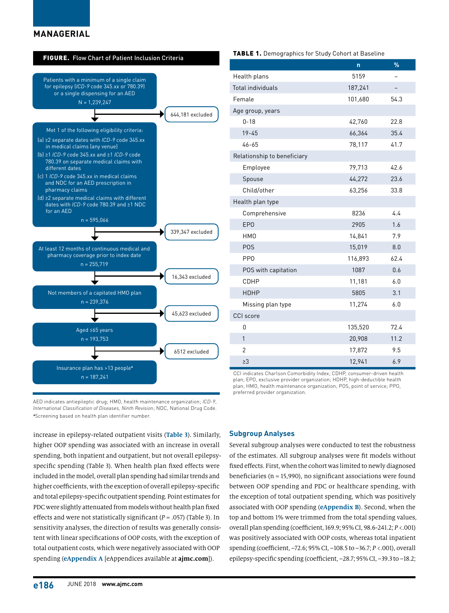#### **MANAGERIAL**



AED indicates antiepileptic drug; HMO, health maintenance organization; *ICD-9*, *International Classification of Diseases, Ninth Revision*; NDC, National Drug Code. **a** Screening based on health plan identifier number.

increase in epilepsy-related outpatient visits (**Table 3**). Similarly, higher OOP spending was associated with an increase in overall spending, both inpatient and outpatient, but not overall epilepsyspecific spending (Table 3). When health plan fixed effects were included in the model, overall plan spending had similar trends and higher coefficients, with the exception of overall epilepsy-specific and total epilepsy-specific outpatient spending. Point estimates for PDC were slightly attenuated from models without health plan fixed effects and were not statistically significant (*P* = .057) (Table 3). In sensitivity analyses, the direction of results was generally consistent with linear specifications of OOP costs, with the exception of total outpatient costs, which were negatively associated with OOP spending (**eAppendix A** [eAppendices available at **ajmc.com**]).

| Total individuals           | 187,241 |      |
|-----------------------------|---------|------|
| Female                      | 101,680 | 54.3 |
| Age group, years            |         |      |
| $0 - 18$                    | 42,760  | 22.8 |
| $19 - 45$                   | 66,364  | 35.4 |
| $46 - 65$                   | 78,117  | 41.7 |
| Relationship to beneficiary |         |      |
| Employee                    | 79,713  | 42.6 |
| Spouse                      | 44,272  | 23.6 |
| Child/other                 | 63,256  | 33.8 |
| Health plan type            |         |      |
| Comprehensive               | 8236    | 4.4  |
| <b>EPO</b>                  | 2905    | 1.6  |
| HM <sub>0</sub>             | 14,841  | 7.9  |
| <b>POS</b>                  | 15,019  | 8.0  |
| PP <sub>0</sub>             | 116,893 | 62.4 |
| POS with capitation         | 1087    | 0.6  |
| CDHP                        | 11,181  | 6.0  |
| <b>HDHP</b>                 | 5805    | 3.1  |
| Missing plan type           | 11,274  | 6.0  |
| CCI score                   |         |      |
| 0                           | 135,520 | 72.4 |
| $\mathbf{1}$                | 20,908  | 11.2 |
| $\overline{2}$              | 17,872  | 9.5  |
| $\geq$ 3                    | 12,941  | 6.9  |
| OL ISSUE                    |         |      |

**n %**

CCI indicates Charlson Comorbidity Index; CDHP, consumer-driven health plan; EPO, exclusive provider organization; HDHP, high-deductible health plan; HMO, health maintenance organization; POS, point of service; PPO, preferred provider organization.

#### **Subgroup Analyses**

Several subgroup analyses were conducted to test the robustness of the estimates. All subgroup analyses were fit models without fixed effects. First, when the cohort was limited to newly diagnosed beneficiaries ( $n = 15,990$ ), no significant associations were found between OOP spending and PDC or healthcare spending, with the exception of total outpatient spending, which was positively associated with OOP spending (**eAppendix B**). Second, when the top and bottom 1% were trimmed from the total spending values, overall plan spending (coefficient, 169.9; 95% CI, 98.6-241.2; *P* <.001) was positively associated with OOP costs, whereas total inpatient spending (coefficient, –72.6; 95% CI, –108.5 to –36.7; *P* <.001), overall epilepsy-specific spending (coefficient, –28.7; 95% CI, –39.3 to –18.2;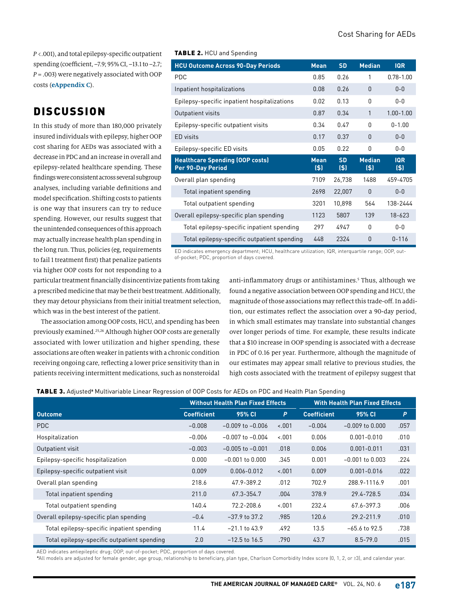*P* <.001), and total epilepsy-specific outpatient spending (coefficient, –7.9; 95% CI, –13.1 to –2.7; *P* = .003) were negatively associated with OOP costs (**eAppendix C**).

## **DISCUSSION**

In this study of more than 180,000 privately insured individuals with epilepsy, higher OOP cost sharing for AEDs was associated with a decrease in PDC and an increase in overall and epilepsy-related healthcare spending. These findings were consistent across several subgroup analyses, including variable definitions and model specification. Shifting costs to patients is one way that insurers can try to reduce spending. However, our results suggest that the unintended consequences of this approach may actually increase health plan spending in the long run. Thus, policies (eg, requirements to fail 1 treatment first) that penalize patients via higher OOP costs for not responding to a

TABLE 2. HCU and Spending

| <b>HCU Outcome Across 90-Day Periods</b>                           | <b>Mean</b>            | <b>SD</b>        | <b>Median</b>        | <b>IQR</b>        |
|--------------------------------------------------------------------|------------------------|------------------|----------------------|-------------------|
| <b>PDC</b>                                                         | 0.85                   | 0.26             | 1                    | $0.78 - 1.00$     |
| Inpatient hospitalizations                                         | 0.08                   | 0.26             | $\Omega$             | $0 - 0$           |
| Epilepsy-specific inpatient hospitalizations                       | 0.02                   | 0.13             | U                    | $0 - 0$           |
| Outpatient visits                                                  | 0.87                   | 0.34             | 1                    | $100-100$         |
| Epilepsy-specific outpatient visits                                | 0.34                   | 047              | $\Omega$             | $0 - 1.00$        |
| ED visits                                                          | 0.17                   | 0.37             | <sup>n</sup>         | $0 - 0$           |
| Epilepsy-specific ED visits                                        | 0.05                   | 0.22             | $\Omega$             | $0 - 0$           |
| <b>Healthcare Spending (OOP costs)</b><br><b>Per 90-Day Period</b> | <b>Mean</b><br>$($ \$) | <b>SD</b><br>(5) | <b>Median</b><br>(5) | <b>IQR</b><br>(5) |
| Overall plan spending                                              | 7109                   | 26,738           | 1488                 | 459-4705          |
| Total inpatient spending                                           | 2698                   | 22,007           | $\Omega$             | $0 - 0$           |
| Total outpatient spending                                          | 3201                   | 10,898           | 564                  | 138-2444          |
| Overall epilepsy-specific plan spending                            | 1123                   | 5807             | 139                  | $18 - 623$        |
| Total epilepsy-specific inpatient spending                         | 297                    | 4947             | <sup>0</sup>         | $0 - 0$           |
| Total epilepsy-specific outpatient spending                        | 448                    | 2324             | $\Omega$             | $0 - 116$         |

ED indicates emergency department; HCU, healthcare utilization; IQR, interquartile range; OOP, outof-pocket; PDC, proportion of days covered.

particular treatment financially disincentivize patients from taking a prescribed medicine that may be their best treatment. Additionally, they may detour physicians from their initial treatment selection, which was in the best interest of the patient.

The association among OOP costs, HCU, and spending has been previously examined.25,26 Although higher OOP costs are generally associated with lower utilization and higher spending, these associations are often weaker in patients with a chronic condition receiving ongoing care, reflecting a lower price sensitivity than in patients receiving intermittent medications, such as nonsteroidal

anti-inflammatory drugs or antihistamines.<sup>5</sup> Thus, although we found a negative association between OOP spending and HCU, the magnitude of those associations may reflect this trade-off. In addition, our estimates reflect the association over a 90-day period, in which small estimates may translate into substantial changes over longer periods of time. For example, these results indicate that a \$10 increase in OOP spending is associated with a decrease in PDC of 0.16 per year. Furthermore, although the magnitude of our estimates may appear small relative to previous studies, the high costs associated with the treatment of epilepsy suggest that

TABLE 3. Adjusted**<sup>a</sup>** Multivariable Linear Regression of OOP Costs for AEDs on PDC and Health Plan Spending

|                                             | <b>Without Health Plan Fixed Effects</b> |                      |         | <b>With Health Plan Fixed Effects</b> |                     |                 |
|---------------------------------------------|------------------------------------------|----------------------|---------|---------------------------------------|---------------------|-----------------|
| <b>Outcome</b>                              | <b>Coefficient</b>                       | 95% CI               | P       | <b>Coefficient</b>                    | 95% CI              | $\vert P \vert$ |
| PDC                                         | $-0.008$                                 | $-0.009$ to $-0.006$ | $-.001$ | $-0.004$                              | $-0.009$ to $0.000$ | .057            |
| Hospitalization                             | $-0.006$                                 | $-0.007$ to $-0.004$ | $-.001$ | 0.006                                 | $0.001 - 0.010$     | .010            |
| Outpatient visit                            | $-0.003$                                 | $-0.005$ to $-0.001$ | .018    | 0.006                                 | $0.001 - 0.011$     | .031            |
| Epilepsy-specific hospitalization           | 0.000                                    | $-0.001$ to $0.000$  | .345    | 0.001                                 | $-0.001$ to $0.003$ | .224            |
| Epilepsy-specific outpatient visit          | 0.009                                    | $0.006 - 0.012$      | $-.001$ | 0.009                                 | $0.001 - 0.016$     | .022            |
| Overall plan spending                       | 218.6                                    | 47.9-389.2           | .012    | 702.9                                 | 288.9-1116.9        | .001            |
| Total inpatient spending                    | 211.0                                    | 67.3-354.7           | .004    | 378.9                                 | 29.4-728.5          | .034            |
| Total outpatient spending                   | 140.4                                    | 72.2-208.6           | $-.001$ | 232.4                                 | 67.6-397.3          | .006            |
| Overall epilepsy-specific plan spending     | $-0.4$                                   | $-37.9$ to 37.2      | .985    | 120.6                                 | 29.2-211.9          | .010            |
| Total epilepsy-specific inpatient spending  | 11.4                                     | $-21.1$ to 43.9      | .492    | 13.5                                  | $-65.6$ to 92.5     | .738            |
| Total epilepsy-specific outpatient spending | 2.0                                      | $-12.5$ to $16.5$    | .790    | 43.7                                  | $8.5 - 79.0$        | .015            |

AED indicates antiepileptic drug; OOP, out-of-pocket; PDC, proportion of days covered.

**a** All models are adjusted for female gender, age group, relationship to beneficiary, plan type, Charlson Comorbidity Index score (0, 1, 2, or ≥3), and calendar year.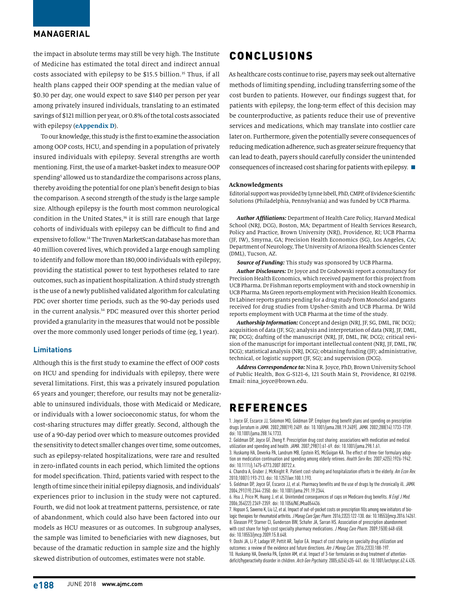### **MANAGERIAL**

the impact in absolute terms may still be very high. The Institute of Medicine has estimated the total direct and indirect annual costs associated with epilepsy to be \$15.5 billion.<sup>35</sup> Thus, if all health plans capped their OOP spending at the median value of \$0.30 per day, one would expect to save \$140 per person per year among privately insured individuals, translating to an estimated savings of \$121 million per year, or 0.8% of the total costs associated with epilepsy (**eAppendix D**).

To our knowledge, this study is the first to examine the association among OOP costs, HCU, and spending in a population of privately insured individuals with epilepsy. Several strengths are worth mentioning. First, the use of a market-basket index to measure OOP spending<sup>5</sup> allowed us to standardize the comparisons across plans, thereby avoiding the potential for one plan's benefit design to bias the comparison. A second strength of the study is the large sample size. Although epilepsy is the fourth most common neurological condition in the United States,<sup>36</sup> it is still rare enough that large cohorts of individuals with epilepsy can be difficult to find and expensive to follow.14 The Truven MarketScan database has more than 40 million covered lives, which provided a large enough sampling to identify and follow more than 180,000 individuals with epilepsy, providing the statistical power to test hypotheses related to rare outcomes, such as inpatient hospitalization. A third study strength is the use of a newly published validated algorithm for calculating PDC over shorter time periods, such as the 90-day periods used in the current analysis.<sup>34</sup> PDC measured over this shorter period provided a granularity in the measures that would not be possible over the more commonly used longer periods of time (eg, 1 year).

#### **Limitations**

Although this is the first study to examine the effect of OOP costs on HCU and spending for individuals with epilepsy, there were several limitations. First, this was a privately insured population 65 years and younger; therefore, our results may not be generalizable to uninsured individuals, those with Medicaid or Medicare, or individuals with a lower socioeconomic status, for whom the cost-sharing structures may differ greatly. Second, although the use of a 90-day period over which to measure outcomes provided the sensitivity to detect smaller changes over time, some outcomes, such as epilepsy-related hospitalizations, were rare and resulted in zero-inflated counts in each period, which limited the options for model specification. Third, patients varied with respect to the length of time since their initial epilepsy diagnosis, and individuals' experiences prior to inclusion in the study were not captured. Fourth, we did not look at treatment patterns, persistence, or rate of abandonment, which could also have been factored into our models as HCU measures or as outcomes. In subgroup analyses, the sample was limited to beneficiaries with new diagnoses, but because of the dramatic reduction in sample size and the highly skewed distribution of outcomes, estimates were not stable.

### CONCLUSIONS

As healthcare costs continue to rise, payers may seek out alternative methods of limiting spending, including transferring some of the cost burden to patients. However, our findings suggest that, for patients with epilepsy, the long-term effect of this decision may be counterproductive, as patients reduce their use of preventive services and medications, which may translate into costlier care later on. Furthermore, given the potentially severe consequences of reducing medication adherence, such as greater seizure frequency that can lead to death, payers should carefully consider the unintended consequences of increased cost sharing for patients with epilepsy.  $\blacksquare$ 

#### **Acknowledgments**

Editorial support was provided by Lynne Isbell, PhD, CMPP, of Evidence Scientific Solutions (Philadelphia, Pennsylvania) and was funded by UCB Pharma.

*Author Affiliations:* Department of Health Care Policy, Harvard Medical School (NRJ, DCG), Boston, MA; Department of Health Services Research, Policy and Practice, Brown University (NRJ), Providence, RI; UCB Pharma (JF, IW), Smyrna, GA; Precision Health Economics (SG), Los Angeles, CA; Department of Neurology, The University of Arizona Health Sciences Center (DML), Tucson, AZ.

*Source of Funding:* This study was sponsored by UCB Pharma.

*Author Disclosures:* Dr Joyce and Dr Grabowski report a consultancy for Precision Health Economics, which received payment for this project from UCB Pharma. Dr Fishman reports employment with and stock ownership in UCB Pharma. Ms Green reports employment with Precision Health Economics. Dr Labiner reports grants pending for a drug study from MonoSol and grants received for drug studies from Upsher-Smith and UCB Pharma. Dr Wild reports employment with UCB Pharma at the time of the study.

*Authorship Information:* Concept and design (NRJ, JF, SG, DML, IW, DCG); acquisition of data (JF, SG); analysis and interpretation of data (NRJ, JF, DML, IW, DCG); drafting of the manuscript (NRJ, JF, DML, IW, DCG); critical revision of the manuscript for important intellectual content (NRJ, JF, DML, IW, DCG); statistical analysis (NRJ, DCG); obtaining funding (JF); administrative, technical, or logistic support (JF, SG); and supervision (DCG).

*Address Correspondence to:* Nina R. Joyce, PhD, Brown University School of Public Health, Box G-S121-6, 121 South Main St, Providence, RI 02198. Email: nina\_joyce@brown.edu.

### REFERENCES

1. Joyce GF, Escarce JJ, Solomon MD, Goldman DP. Employer drug benefit plans and spending on prescription drugs [erratum in *JAMA*. 2002;288(19):2409. doi: 10.1001/jama.288.19.2409]. *JAMA.* 2002;288(14):1733-1739. doi: 10.1001/jama.288.14.1733.

2. Goldman DP, Joyce GF, Zheng Y. Prescription drug cost sharing: associations with medication and medical utilization and spending and health. *JAMA.* 2007;298(1):61-69. doi: 10.1001/jama.298.1.61.

3. Huskamp HA, Deverka PA, Landrum MB, Epstein RS, McGuigan KA. The effect of three-tier formulary adoption on medication continuation and spending among elderly retirees. *Health Serv Res.* 2007;42(5):1926-1942. doi: 10.1111/j.1475-6773.2007.00722.x.

4. Chandra A, Gruber J, McKnight R. Patient cost-sharing and hospitalization offsets in the elderly. *Am Econ Rev.*  2010;100(1):193-213. doi: 10.1257/aer.100.1.193.

5. Goldman DP, Joyce GF, Escarce JJ, et al. Pharmacy benefits and the use of drugs by the chronically ill. *JAMA.*  2004;291(19):2344-2350. doi: 10.1001/jama.291.19.2344.

6. Hsu J, Price M, Huang J, et al. Unintended consequences of caps on Medicare drug benefits. *N Engl J Med.*  2006;354(22):2349-2359. doi: 10.1056/NEJMsa054436.

7. Hopson S, Saverno K, Liu LZ, et al. Impact of out-of-pocket costs on prescription fills among new initiators of biologic therapies for rheumatoid arthritis. *J Manag Care Spec Pharm.* 2016;22(2):122-130. doi: 10.18553/jmcp.2016.14261. 8. Gleason PP, Starner CI, Gunderson BW, Schafer JA, Sarran HS. Association of prescription abandonment with cost share for high-cost specialty pharmacy medications. *J Manag Care Pharm.* 2009;15(8):648-658. doi: 10.18553/jmcp.2009.15.8.648.

9. Doshi JA, Li P, Ladage VP, Pettit AR, Taylor EA. Impact of cost sharing on specialty drug utilization and outcomes: a review of the evidence and future directions. *Am J Manag Care.* 2016;22(3):188-197. 10. Huskamp HA, Deverka PA, Epstein AM, et al. Impact of 3-tier formularies on drug treatment of attentiondeficit/hyperactivity disorder in children. *Arch Gen Psychiatry.* 2005;62(4):435-441. doi: 10.1001/archpsyc.62.4.435.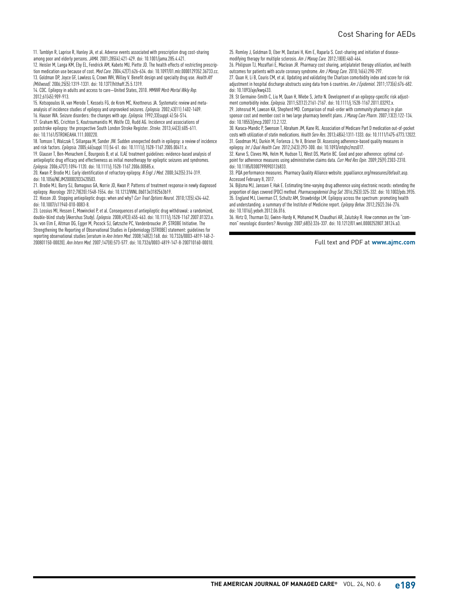11. Tamblyn R, Laprise R, Hanley JA, et al. Adverse events associated with prescription drug cost-sharing among poor and elderly persons. *JAMA.* 2001;285(4):421-429. doi: 10.1001/jama.285.4.421.

12. Heisler M, Langa KM, Eby EL, Fendrick AM, Kabeto MU, Piette JD. The health effects of restricting prescription medication use because of cost. *Med Care.* 2004;42(7):626-634. doi: 10.1097/01.mlr.0000129352.36733.cc. 13. Goldman DP, Joyce GF, Lawless G, Crown WH, Willey V. Benefit design and specialty drug use. *Health Aff (Millwood).* 2006;25(5):1319-1331. doi: 10.1377/hlthaff.25.5.1319.

14. CDC. Epilepsy in adults and access to care—United States, 2010. *MMWR Morb Mortal Wkly Rep.*  2012;61(45):909-913.

15. Kotsopoulos IA, van Merode T, Kessels FG, de Krom MC, Knottnerus JA. Systematic review and metaanalysis of incidence studies of epilepsy and unprovoked seizures. *Epilepsia.* 2002;43(11):1402-1409. 16. Hauser WA. Seizure disorders: the changes with age. *Epilepsia.* 1992;33(suppl 4):S6-S14.

17. Graham NS, Crichton S, Koutroumanidis M, Wolfe CD, Rudd AG. Incidence and associations of poststroke epilepsy: the prospective South London Stroke Register. *Stroke.* 2013;44(3):605-611. doi: 10.1161/STROKEAHA.111.000220.

18. Tomson T, Walczak T, Sillanpaa M, Sander JW. Sudden unexpected death in epilepsy: a review of incidence and risk factors. *Epilepsia.* 2005;46(suppl 11):54-61. doi: 10.1111/j.1528-1167.2005.00411.x.

19. Glauser T, Ben-Menachem E, Bourgeois B, et al. ILAE treatment guidelines: evidence-based analysis of antiepileptic drug efficacy and effectiveness as initial monotherapy for epileptic seizures and syndromes. *Epilepsia.* 2006;47(7):1094-1120. doi: 10.1111/j.1528-1167.2006.00585.x.

20. Kwan P, Brodie MJ. Early identification of refractory epilepsy. *N Engl J Med.* 2000;342(5):314-319. doi: 10.1056/NEJM200002033420503.

21. Brodie MJ, Barry SJ, Bamagous GA, Norrie JD, Kwan P. Patterns of treatment response in newly diagnosed epilepsy. *Neurology.* 2012;78(20):1548-1554. doi: 10.1212/WNL.0b013e3182563b19.

22. Hixson JD. Stopping antiepileptic drugs: when and why? *Curr Treat Options Neurol.* 2010;12(5):434-442. doi: 10.1007/s11940-010-0083-8.

23. Lossius MI, Hessen E, Mowinckel P, et al. Consequences of antiepileptic drug withdrawal: a randomized, double-blind study (Akershus Study). *Epilepsia.* 2008;49(3):455-463. doi: 10.1111/j.1528-1167.2007.01323.x. 24. von Elm E, Altman DG, Egger M, Pocock SJ, Gøtzsche PC, Vandenbroucke JP; STROBE Initiative. The Strengthening the Reporting of Observational Studies in Epidemiology (STROBE) statement: guidelines for

reporting observational studies [erratum in *Ann Intern Med*. 2008;148(2):168. doi: 10.7326/0003-4819-148-2- 200801150-00020]. *Ann Intern Med.* 2007;147(8):573-577. doi: 10.7326/0003-4819-147-8-200710160-00010.

25. Romley J, Goldman D, Eber M, Dastani H, Kim E, Raparla S. Cost-sharing and initiation of diseasemodifying therapy for multiple sclerosis. *Am J Manag Care.* 2012;18(8):460-464.

26. Philipson TJ, Mozaffari E, Maclean JR. Pharmacy cost sharing, antiplatelet therapy utilization, and health outcomes for patients with acute coronary syndrome. *Am J Manag Care.* 2010;16(4):290-297.

27. Quan H, Li B, Couris CM, et al. Updating and validating the Charlson comorbidity index and score for risk adjustment in hospital discharge abstracts using data from 6 countries. *Am J Epidemiol.* 2011;173(6):676-682. doi: 10.1093/aje/kwq433.

28. St Germaine-Smith C, Liu M, Quan H, Wiebe S, Jette N. Development of an epilepsy-specific risk adjustment comorbidity index. *Epilepsia.* 2011;52(12):2161-2167. doi: 10.1111/j.1528-1167.2011.03292.x. 29. Johnsrud M, Lawson KA, Shepherd MD. Comparison of mail-order with community pharmacy in plan sponsor cost and member cost in two large pharmacy benefit plans. *J Manag Care Pharm*. 2007;13(2):122-134. doi: 10.18553/jmcp.2007.13.2.122.

30. Karaca-Mandic P, Swenson T, Abraham JM, Kane RL. Association of Medicare Part D medication out-of-pocket costs with utilization of statin medications. *Health Serv Res*. 2013;48(4):1311-1333. doi: 10.1111/1475-6773.12022. 31. Goodman MJ, Durkin M, Forlenza J, Ye X, Brixner DI. Assessing adherence-based quality measures in epilepsy. *Int J Qual Health Care.* 2012;24(3):293-300. doi: 10.1093/intqhc/mzs017.

32. Karve S, Cleves MA, Helm M, Hudson TJ, West DS, Martin BC. Good and poor adherence: optimal cutpoint for adherence measures using administrative claims data. *Curr Med Res Opin.* 2009;25(9):2303-2310. doi: 10.1185/03007990903126833.

33. PQA performance measures. Pharmacy Quality Alliance website. pqaalliance.org/measures/default.asp. Accessed February 8, 2017.

34. Bijlsma MJ, Janssen F, Hak E. Estimating time-varying drug adherence using electronic records: extending the proportion of days covered (PDC) method. *Pharmacoepidemiol Drug Saf.* 2016;25(3):325-332. doi: 10.1002/pds.3935. 35. England MJ, Liverman CT, Schultz AM, Strawbridge LM. Epilepsy across the spectrum: promoting health and understanding. a summary of the Institute of Medicine report. *Epilepsy Behav.* 2012;25(2):266-276. doi: 10.1016/j.yebeh.2012.06.016.

36. Hirtz D, Thurman DJ, Gwinn-Hardy K, Mohamed M, Chaudhuri AR, Zalutsky R. How common are the "common" neurologic disorders? *Neurology.* 2007;68(5):326-337. doi: 10.1212/01.wnl.0000252807.38124.a3.

Full text and PDF at **www.ajmc.com**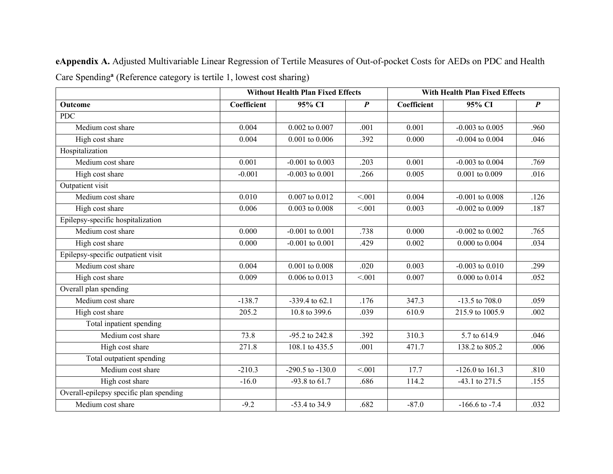**eAppendix A.** Adjusted Multivariable Linear Regression of Tertile Measures of Out-of-pocket Costs for AEDs on PDC and Health Care Spending**<sup>a</sup>** (Reference category is tertile 1, lowest cost sharing)

|                                         |             | <b>Without Health Plan Fixed Effects</b> |                  | <b>With Health Plan Fixed Effects</b> |                           |                  |
|-----------------------------------------|-------------|------------------------------------------|------------------|---------------------------------------|---------------------------|------------------|
| Outcome                                 | Coefficient | 95% CI                                   | $\boldsymbol{P}$ | Coefficient                           | 95% CI                    | $\boldsymbol{P}$ |
| <b>PDC</b>                              |             |                                          |                  |                                       |                           |                  |
| Medium cost share                       | 0.004       | 0.002 to 0.007                           | .001             | 0.001                                 | $-0.003$ to $0.005$       | .960             |
| High cost share                         | 0.004       | 0.001 to 0.006                           | .392             | 0.000                                 | $-0.004$ to $0.004$       | .046             |
| Hospitalization                         |             |                                          |                  |                                       |                           |                  |
| Medium cost share                       | 0.001       | $-0.001$ to $0.003$                      | .203             | 0.001                                 | $-0.003$ to $0.004$       | .769             |
| High cost share                         | $-0.001$    | $-0.003$ to $0.001$                      | .266             | 0.005                                 | 0.001 to 0.009            | .016             |
| Outpatient visit                        |             |                                          |                  |                                       |                           |                  |
| Medium cost share                       | 0.010       | 0.007 to 0.012                           | < 0.01           | 0.004                                 | $-0.001$ to $0.008$       | .126             |
| High cost share                         | 0.006       | $0.003$ to $0.008$                       | < 0.001          | 0.003                                 | $-0.002$ to $0.009$       | .187             |
| Epilepsy-specific hospitalization       |             |                                          |                  |                                       |                           |                  |
| Medium cost share                       | 0.000       | $-0.001$ to $0.001$                      | .738             | 0.000                                 | $-0.002$ to $0.002$       | .765             |
| High cost share                         | 0.000       | $-0.001$ to $0.001$                      | .429             | 0.002                                 | 0.000 to 0.004            | .034             |
| Epilepsy-specific outpatient visit      |             |                                          |                  |                                       |                           |                  |
| Medium cost share                       | 0.004       | 0.001 to 0.008                           | .020             | 0.003                                 | $-0.003$ to $0.010$       | .299             |
| High cost share                         | 0.009       | 0.006 to 0.013                           | < 0.01           | 0.007                                 | 0.000 to 0.014            | .052             |
| Overall plan spending                   |             |                                          |                  |                                       |                           |                  |
| Medium cost share                       | $-138.7$    | $-339.4$ to 62.1                         | .176             | 347.3                                 | $-13.5$ to $708.0$        | .059             |
| High cost share                         | 205.2       | 10.8 to 399.6                            | .039             | 610.9                                 | 215.9 to 1005.9           | .002             |
| Total inpatient spending                |             |                                          |                  |                                       |                           |                  |
| Medium cost share                       | 73.8        | -95.2 to 242.8                           | .392             | 310.3                                 | 5.7 to $61\overline{4.9}$ | .046             |
| High cost share                         | 271.8       | 108.1 to 435.5                           | .001             | 471.7                                 | 138.2 to 805.2            | .006             |
| Total outpatient spending               |             |                                          |                  |                                       |                           |                  |
| Medium cost share                       | $-210.3$    | $-290.5$ to $-130.0$                     | < 0.01           | 17.7                                  | $-126.0$ to $161.3$       | .810             |
| High cost share                         | $-16.0$     | -93.8 to 61.7                            | .686             | 114.2                                 | $-43.1$ to $271.5$        | .155             |
| Overall-epilepsy specific plan spending |             |                                          |                  |                                       |                           |                  |
| Medium cost share                       | $-9.2$      | $-53.4$ to 34.9                          | .682             | $-87.0$                               | $-166.6$ to $-7.4$        | .032             |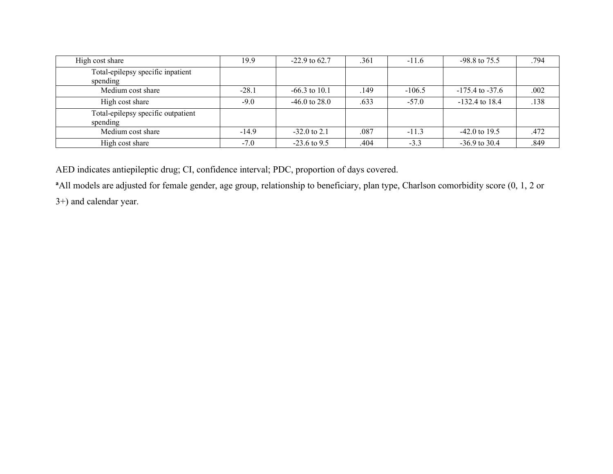| High cost share                                | 19.9    | $-22.9$ to 62.7 | .361 | $-11.6$  | $-98.8$ to $75.5$   | .794 |
|------------------------------------------------|---------|-----------------|------|----------|---------------------|------|
| Total-epilepsy specific inpatient<br>spending  |         |                 |      |          |                     |      |
| Medium cost share                              | $-28.1$ | $-66.3$ to 10.1 | .149 | $-106.5$ | $-175.4$ to $-37.6$ | .002 |
| High cost share                                | $-9.0$  | $-46.0$ to 28.0 | .633 | $-57.0$  | $-132.4$ to 18.4    | .138 |
| Total-epilepsy specific outpatient<br>spending |         |                 |      |          |                     |      |
| Medium cost share                              | $-14.9$ | $-32.0$ to 2.1  | .087 | $-11.3$  | $-42.0$ to 19.5     | .472 |
| High cost share                                | $-7.0$  | $-23.6$ to 9.5  | .404 | $-3.3$   | $-36.9$ to 30.4     | .849 |

AED indicates antiepileptic drug; CI, confidence interval; PDC, proportion of days covered.

<sup>a</sup> All models are adjusted for female gender, age group, relationship to beneficiary, plan type, Charlson comorbidity score (0, 1, 2 or

3+) and calendar year.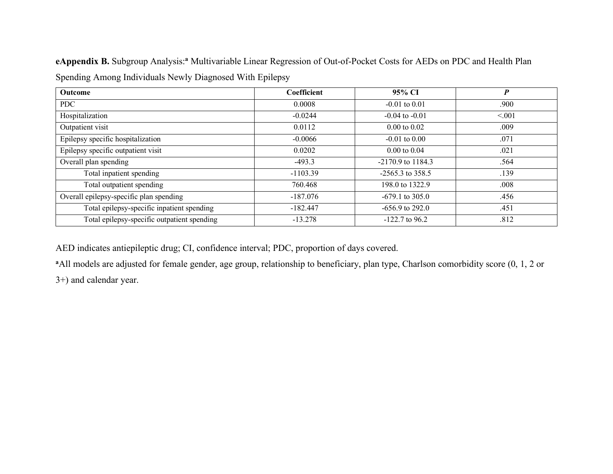**eAppendix B.** Subgroup Analysis:**<sup>a</sup>** Multivariable Linear Regression of Out-of-Pocket Costs for AEDs on PDC and Health Plan Spending Among Individuals Newly Diagnosed With Epilepsy

| <b>Outcome</b>                              | Coefficient | 95% CI                  | $\boldsymbol{P}$ |
|---------------------------------------------|-------------|-------------------------|------------------|
| PDC                                         | 0.0008      | $-0.01$ to $0.01$       | .900             |
| Hospitalization                             | $-0.0244$   | $-0.04$ to $-0.01$      | < 0.01           |
| Outpatient visit                            | 0.0112      | $0.00 \text{ to } 0.02$ | .009             |
| Epilepsy specific hospitalization           | $-0.0066$   | $-0.01$ to $0.00$       | .071             |
| Epilepsy specific outpatient visit          | 0.0202      | $0.00 \text{ to } 0.04$ | .021             |
| Overall plan spending                       | $-493.3$    | $-2170.9$ to $1184.3$   | .564             |
| Total inpatient spending                    | $-1103.39$  | $-2565.3$ to 358.5      | .139             |
| Total outpatient spending                   | 760.468     | 198.0 to 1322.9         | .008             |
| Overall epilepsy-specific plan spending     | $-187.076$  | $-679.1$ to 305.0       | .456             |
| Total epilepsy-specific inpatient spending  | $-182.447$  | $-656.9$ to 292.0       | .451             |
| Total epilepsy-specific outpatient spending | $-13.278$   | $-122.7$ to 96.2        | .812             |

AED indicates antiepileptic drug; CI, confidence interval; PDC, proportion of days covered.

<sup>a</sup>All models are adjusted for female gender, age group, relationship to beneficiary, plan type, Charlson comorbidity score (0, 1, 2 or

3+) and calendar year.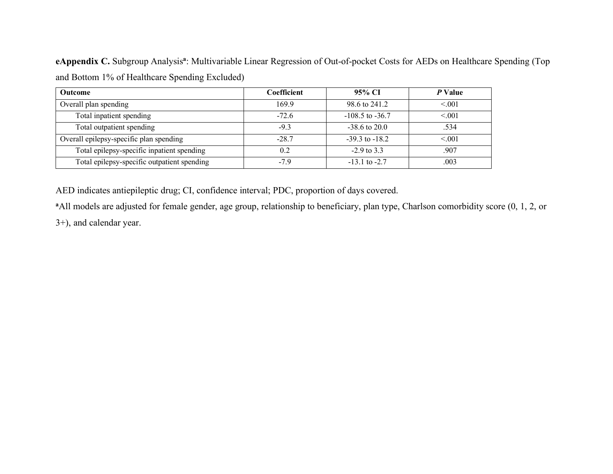**eAppendix C.** Subgroup Analysis**<sup>a</sup>**: Multivariable Linear Regression of Out-of-pocket Costs for AEDs on Healthcare Spending (Top and Bottom 1% of Healthcare Spending Excluded)

| <b>Outcome</b>                              | Coefficient | 95% CI              | P Value |
|---------------------------------------------|-------------|---------------------|---------|
| Overall plan spending                       | 1699        | 98.6 to 241.2       | < 0.01  |
| Total inpatient spending                    | $-72.6$     | $-108.5$ to $-36.7$ | < 0.01  |
| Total outpatient spending                   | $-9.3$      | $-38.6$ to 20.0     | .534    |
| Overall epilepsy-specific plan spending     | $-287$      | $-39.3$ to $-18.2$  | < 0.01  |
| Total epilepsy-specific inpatient spending  | 02          | $-2.9$ to 3.3       | .907    |
| Total epilepsy-specific outpatient spending | $-7.9$      | $-13.1$ to $-2.7$   | .003    |

AED indicates antiepileptic drug; CI, confidence interval; PDC, proportion of days covered.

<sup>a</sup> All models are adjusted for female gender, age group, relationship to beneficiary, plan type, Charlson comorbidity score (0, 1, 2, or

3+), and calendar year.